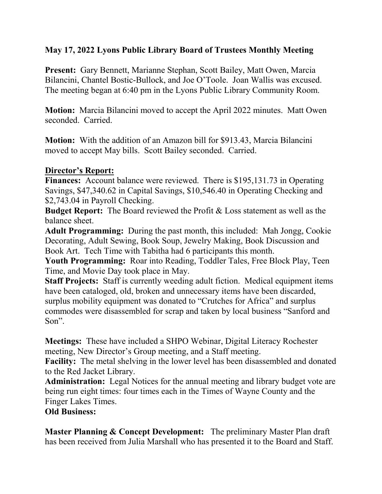## **May 17, 2022 Lyons Public Library Board of Trustees Monthly Meeting**

**Present:** Gary Bennett, Marianne Stephan, Scott Bailey, Matt Owen, Marcia Bilancini, Chantel Bostic-Bullock, and Joe O'Toole. Joan Wallis was excused. The meeting began at 6:40 pm in the Lyons Public Library Community Room.

**Motion:** Marcia Bilancini moved to accept the April 2022 minutes. Matt Owen seconded. Carried.

**Motion:** With the addition of an Amazon bill for \$913.43, Marcia Bilancini moved to accept May bills. Scott Bailey seconded. Carried.

#### **Director's Report:**

**Finances:** Account balance were reviewed. There is \$195,131.73 in Operating Savings, \$47,340.62 in Capital Savings, \$10,546.40 in Operating Checking and \$2,743.04 in Payroll Checking.

**Budget Report:** The Board reviewed the Profit & Loss statement as well as the balance sheet.

**Adult Programming:** During the past month, this included: Mah Jongg, Cookie Decorating, Adult Sewing, Book Soup, Jewelry Making, Book Discussion and Book Art. Tech Time with Tabitha had 6 participants this month.

**Youth Programming:** Roar into Reading, Toddler Tales, Free Block Play, Teen Time, and Movie Day took place in May.

**Staff Projects:** Staff is currently weeding adult fiction. Medical equipment items have been cataloged, old, broken and unnecessary items have been discarded, surplus mobility equipment was donated to "Crutches for Africa" and surplus commodes were disassembled for scrap and taken by local business "Sanford and Son".

**Meetings:** These have included a SHPO Webinar, Digital Literacy Rochester meeting, New Director's Group meeting, and a Staff meeting.

**Facility:** The metal shelving in the lower level has been disassembled and donated to the Red Jacket Library.

**Administration:** Legal Notices for the annual meeting and library budget vote are being run eight times: four times each in the Times of Wayne County and the Finger Lakes Times.

#### **Old Business:**

**Master Planning & Concept Development:** The preliminary Master Plan draft has been received from Julia Marshall who has presented it to the Board and Staff.